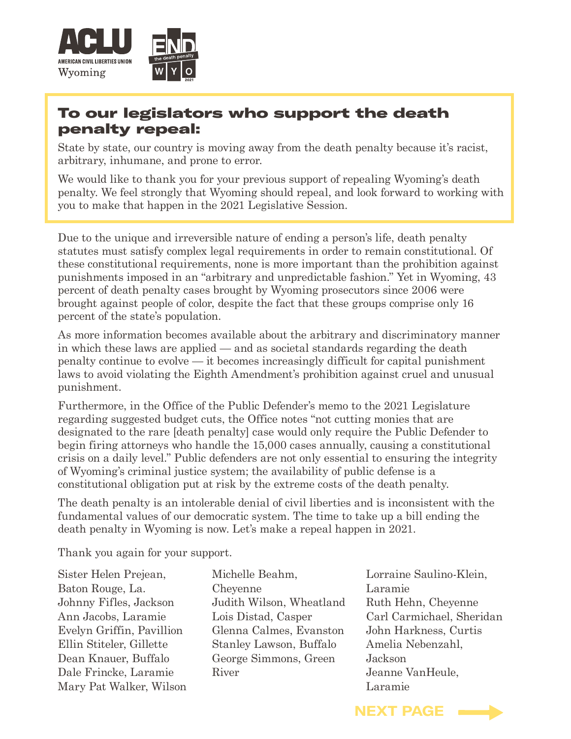

## To our legislators who support the death penalty repeal:

State by state, our country is moving away from the death penalty because it's racist, arbitrary, inhumane, and prone to error.

We would like to thank you for your previous support of repealing Wyoming's death penalty. We feel strongly that Wyoming should repeal, and look forward to working with you to make that happen in the 2021 Legislative Session.

Due to the unique and irreversible nature of ending a person's life, death penalty statutes must satisfy complex legal requirements in order to remain constitutional. Of these constitutional requirements, none is more important than the prohibition against punishments imposed in an "arbitrary and unpredictable fashion." Yet in Wyoming, 43 percent of death penalty cases brought by Wyoming prosecutors since 2006 were brought against people of color, despite the fact that these groups comprise only 16 percent of the state's population.

As more information becomes available about the arbitrary and discriminatory manner in which these laws are applied — and as societal standards regarding the death penalty continue to evolve — it becomes increasingly difficult for capital punishment laws to avoid violating the Eighth Amendment's prohibition against cruel and unusual punishment.

Furthermore, in the Office of the Public Defender's memo to the 2021 Legislature regarding suggested budget cuts, the Office notes "not cutting monies that are designated to the rare [death penalty] case would only require the Public Defender to begin firing attorneys who handle the 15,000 cases annually, causing a constitutional crisis on a daily level." Public defenders are not only essential to ensuring the integrity of Wyoming's criminal justice system; the availability of public defense is a constitutional obligation put at risk by the extreme costs of the death penalty.

The death penalty is an intolerable denial of civil liberties and is inconsistent with the fundamental values of our democratic system. The time to take up a bill ending the death penalty in Wyoming is now. Let's make a repeal happen in 2021.

Thank you again for your support.

- Sister Helen Prejean, Baton Rouge, La. Johnny Fifles, Jackson Ann Jacobs, Laramie Evelyn Griffin, Pavillion Ellin Stiteler, Gillette Dean Knauer, Buffalo Dale Frincke, Laramie Mary Pat Walker, Wilson
- Michelle Beahm, **Chevenne** Judith Wilson, Wheatland Lois Distad, Casper Glenna Calmes, Evanston Stanley Lawson, Buffalo George Simmons, Green River
- Lorraine Saulino-Klein, Laramie Ruth Hehn, Cheyenne Carl Carmichael, Sheridan John Harkness, Curtis Amelia Nebenzahl, Jackson Jeanne VanHeule, Laramie